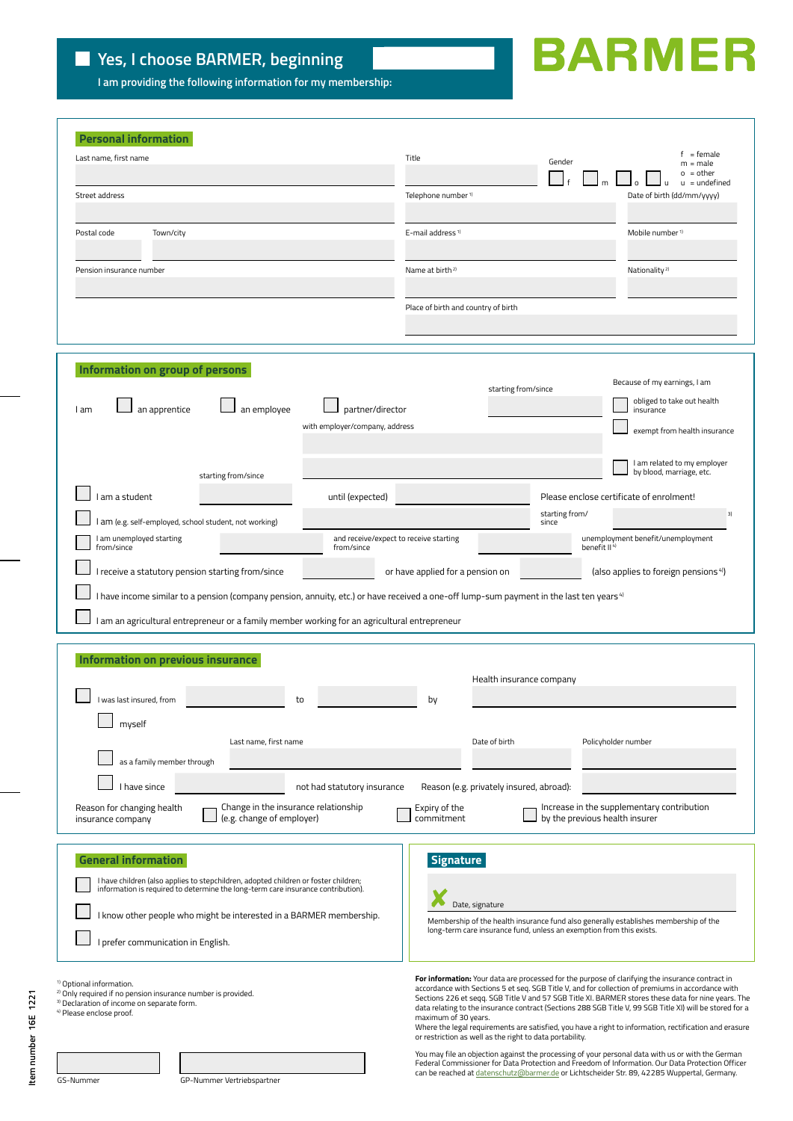**I am providing the following information for my membership:**

## **BARMER**

| <b>Personal information</b>                                                                                                                                                                                                              |                                                                                                                                                                                                                                                                                                                                                                                                                                                  |
|------------------------------------------------------------------------------------------------------------------------------------------------------------------------------------------------------------------------------------------|--------------------------------------------------------------------------------------------------------------------------------------------------------------------------------------------------------------------------------------------------------------------------------------------------------------------------------------------------------------------------------------------------------------------------------------------------|
| Last name, first name                                                                                                                                                                                                                    | = female<br>Title<br>Gender<br>$m = male$<br>$0 = other$<br>$u =$ undefined                                                                                                                                                                                                                                                                                                                                                                      |
| Street address                                                                                                                                                                                                                           | Telephone number <sup>1)</sup><br>Date of birth (dd/mm/vvvv)                                                                                                                                                                                                                                                                                                                                                                                     |
| Postal code<br>Town/city                                                                                                                                                                                                                 | E-mail address <sup>1)</sup><br>Mobile number <sup>1)</sup>                                                                                                                                                                                                                                                                                                                                                                                      |
| Pension insurance number                                                                                                                                                                                                                 | Nationality <sup>2)</sup><br>Name at birth <sup>2)</sup>                                                                                                                                                                                                                                                                                                                                                                                         |
|                                                                                                                                                                                                                                          | Place of birth and country of birth                                                                                                                                                                                                                                                                                                                                                                                                              |
| Information on group of persons<br>an employee<br>an apprentice<br>partner/director<br>I am                                                                                                                                              | Because of my earnings, I am<br>starting from/since<br>obliged to take out health<br>insurance                                                                                                                                                                                                                                                                                                                                                   |
| with employer/company, address                                                                                                                                                                                                           | exempt from health insurance                                                                                                                                                                                                                                                                                                                                                                                                                     |
| starting from/since                                                                                                                                                                                                                      | I am related to my employer<br>by blood, marriage, etc.                                                                                                                                                                                                                                                                                                                                                                                          |
| am a student<br>until (expected)<br>I am (e.g. self-employed, school student, not working)                                                                                                                                               | Please enclose certificate of enrolment!<br>starting from/<br>3)<br>since                                                                                                                                                                                                                                                                                                                                                                        |
| I am unemployed starting<br>from/since<br>from/since                                                                                                                                                                                     | and receive/expect to receive starting<br>unemployment benefit/unemployment<br>benefit II <sup>4)</sup>                                                                                                                                                                                                                                                                                                                                          |
| I receive a statutory pension starting from/since                                                                                                                                                                                        | or have applied for a pension on<br>(also applies to foreign pensions <sup>4)</sup> )                                                                                                                                                                                                                                                                                                                                                            |
| I have income similar to a pension (company pension, annuity, etc.) or have received a one-off lump-sum payment in the last ten years 4<br>I am an agricultural entrepreneur or a family member working for an agricultural entrepreneur |                                                                                                                                                                                                                                                                                                                                                                                                                                                  |
| <b>Information on previous insurance</b>                                                                                                                                                                                                 | Health insurance company                                                                                                                                                                                                                                                                                                                                                                                                                         |
| was last insured, from<br>to                                                                                                                                                                                                             | by                                                                                                                                                                                                                                                                                                                                                                                                                                               |
| myself<br>Last name, first name                                                                                                                                                                                                          | Policyholder number<br>Date of birth                                                                                                                                                                                                                                                                                                                                                                                                             |
| as a family member through                                                                                                                                                                                                               |                                                                                                                                                                                                                                                                                                                                                                                                                                                  |
| I have since<br>not had statutory insurance                                                                                                                                                                                              | Reason (e.g. privately insured, abroad):                                                                                                                                                                                                                                                                                                                                                                                                         |
| Change in the insurance relationship<br>Reason for changing health<br>(e.g. change of employer)<br>insurance company                                                                                                                     | Increase in the supplementary contribution<br>Expiry of the<br>by the previous health insurer<br>commitment                                                                                                                                                                                                                                                                                                                                      |
| <b>General information</b><br>I have children (also applies to stepchildren, adopted children or foster children;<br>information is required to determine the long-term care insurance contribution).                                    | <b>Signature</b><br>Date, signature                                                                                                                                                                                                                                                                                                                                                                                                              |
| I know other people who might be interested in a BARMER membership.<br>I prefer communication in English.                                                                                                                                | Membership of the health insurance fund also generally establishes membership of the<br>long-term care insurance fund, unless an exemption from this exists.                                                                                                                                                                                                                                                                                     |
| <sup>1)</sup> Optional information.<br><sup>2)</sup> Only required if no pension insurance number is provided.<br><sup>3)</sup> Declaration of income on separate form.<br><sup>4)</sup> Please enclose proof.                           | For information: Your data are processed for the purpose of clarifying the insurance contract in<br>accordance with Sections 5 et seq. SGB Title V, and for collection of premiums in accordance with<br>Sections 226 et segg. SGB Title V and 57 SGB Title XI. BARMER stores these data for nine years. The<br>data relating to the insurance contract (Sections 288 SGB Title V, 99 SGB Title XI) will be stored for a<br>maximum of 30 years. |
|                                                                                                                                                                                                                                          | Where the legal requirements are satisfied, you have a right to information, rectification and erasure<br>or restriction as well as the right to data portability.                                                                                                                                                                                                                                                                               |